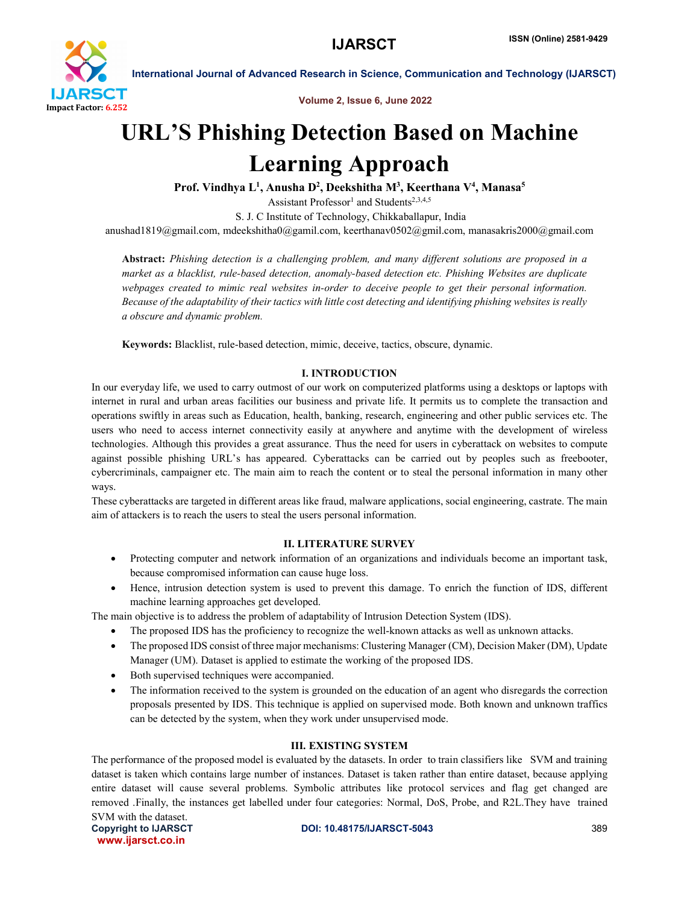

Volume 2, Issue 6, June 2022

# URL'S Phishing Detection Based on Machine Learning Approach

Prof. Vindhya L<sup>1</sup>, Anusha D<sup>2</sup>, Deekshitha M<sup>3</sup>, Keerthana V<sup>4</sup>, Manasa<sup>5</sup>

Assistant Professor<sup>1</sup> and Students<sup>2,3,4,5</sup>

S. J. C Institute of Technology, Chikkaballapur, India

anushad1819@gmail.com, mdeekshitha0@gamil.com, keerthanav0502@gmil.com, manasakris2000@gmail.com

Abstract: *Phishing detection is a challenging problem, and many different solutions are proposed in a market as a blacklist, rule-based detection, anomaly-based detection etc. Phishing Websites are duplicate webpages created to mimic real websites in-order to deceive people to get their personal information. Because of the adaptability of their tactics with little cost detecting and identifying phishing websites is really a obscure and dynamic problem.*

Keywords: Blacklist, rule-based detection, mimic, deceive, tactics, obscure, dynamic.

### I. INTRODUCTION

In our everyday life, we used to carry outmost of our work on computerized platforms using a desktops or laptops with internet in rural and urban areas facilities our business and private life. It permits us to complete the transaction and operations swiftly in areas such as Education, health, banking, research, engineering and other public services etc. The users who need to access internet connectivity easily at anywhere and anytime with the development of wireless technologies. Although this provides a great assurance. Thus the need for users in cyberattack on websites to compute against possible phishing URL's has appeared. Cyberattacks can be carried out by peoples such as freebooter, cybercriminals, campaigner etc. The main aim to reach the content or to steal the personal information in many other ways.

These cyberattacks are targeted in different areas like fraud, malware applications, social engineering, castrate. The main aim of attackers is to reach the users to steal the users personal information.

### II. LITERATURE SURVEY

- Protecting computer and network information of an organizations and individuals become an important task, because compromised information can cause huge loss.
- Hence, intrusion detection system is used to prevent this damage. To enrich the function of IDS, different machine learning approaches get developed.

The main objective is to address the problem of adaptability of Intrusion Detection System (IDS).

- The proposed IDS has the proficiency to recognize the well-known attacks as well as unknown attacks.
- The proposed IDS consist of three major mechanisms: Clustering Manager (CM), Decision Maker (DM), Update Manager (UM). Dataset is applied to estimate the working of the proposed IDS.
- Both supervised techniques were accompanied.
- The information received to the system is grounded on the education of an agent who disregards the correction proposals presented by IDS. This technique is applied on supervised mode. Both known and unknown traffics can be detected by the system, when they work under unsupervised mode.

### III. EXISTING SYSTEM

The performance of the proposed model is evaluated by the datasets. In order to train classifiers like SVM and training dataset is taken which contains large number of instances. Dataset is taken rather than entire dataset, because applying entire dataset will cause several problems. Symbolic attributes like protocol services and flag get changed are removed .Finally, the instances get labelled under four categories: Normal, DoS, Probe, and R2L.They have trained SVM with the dataset.

www.ijarsct.co.in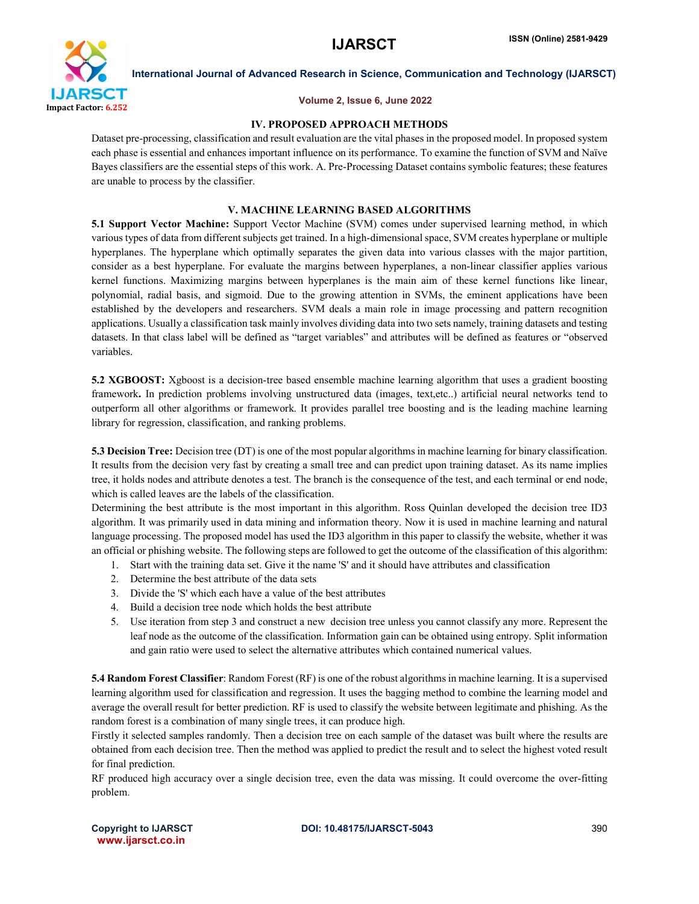

### Volume 2, Issue 6, June 2022

### IV. PROPOSED APPROACH METHODS

Dataset pre-processing, classification and result evaluation are the vital phases in the proposed model. In proposed system each phase is essential and enhances important influence on its performance. To examine the function of SVM and Naïve Bayes classifiers are the essential steps of this work. A. Pre-Processing Dataset contains symbolic features; these features are unable to process by the classifier.

### V. MACHINE LEARNING BASED ALGORITHMS

5.1 Support Vector Machine: Support Vector Machine (SVM) comes under supervised learning method, in which various types of data from different subjects get trained. In a high-dimensional space, SVM creates hyperplane or multiple hyperplanes. The hyperplane which optimally separates the given data into various classes with the major partition, consider as a best hyperplane. For evaluate the margins between hyperplanes, a non-linear classifier applies various kernel functions. Maximizing margins between hyperplanes is the main aim of these kernel functions like linear, polynomial, radial basis, and sigmoid. Due to the growing attention in SVMs, the eminent applications have been established by the developers and researchers. SVM deals a main role in image processing and pattern recognition applications. Usually a classification task mainly involves dividing data into two sets namely, training datasets and testing datasets. In that class label will be defined as "target variables" and attributes will be defined as features or "observed variables.

5.2 XGBOOST: Xgboost is a decision-tree based ensemble machine learning algorithm that uses a gradient boosting framework. In prediction problems involving unstructured data (images, text,etc..) artificial neural networks tend to outperform all other algorithms or framework. It provides parallel tree boosting and is the leading machine learning library for regression, classification, and ranking problems.

5.3 Decision Tree: Decision tree (DT) is one of the most popular algorithms in machine learning for binary classification. It results from the decision very fast by creating a small tree and can predict upon training dataset. As its name implies tree, it holds nodes and attribute denotes a test. The branch is the consequence of the test, and each terminal or end node, which is called leaves are the labels of the classification.

Determining the best attribute is the most important in this algorithm. Ross Quinlan developed the decision tree ID3 algorithm. It was primarily used in data mining and information theory. Now it is used in machine learning and natural language processing. The proposed model has used the ID3 algorithm in this paper to classify the website, whether it was an official or phishing website. The following steps are followed to get the outcome of the classification of this algorithm:

- 1. Start with the training data set. Give it the name 'S' and it should have attributes and classification
- 2. Determine the best attribute of the data sets
- 3. Divide the 'S' which each have a value of the best attributes
- 4. Build a decision tree node which holds the best attribute
- 5. Use iteration from step 3 and construct a new decision tree unless you cannot classify any more. Represent the leaf node as the outcome of the classification. Information gain can be obtained using entropy. Split information and gain ratio were used to select the alternative attributes which contained numerical values.

5.4 Random Forest Classifier: Random Forest (RF) is one of the robust algorithms in machine learning. It is a supervised learning algorithm used for classification and regression. It uses the bagging method to combine the learning model and average the overall result for better prediction. RF is used to classify the website between legitimate and phishing. As the random forest is a combination of many single trees, it can produce high.

Firstly it selected samples randomly. Then a decision tree on each sample of the dataset was built where the results are obtained from each decision tree. Then the method was applied to predict the result and to select the highest voted result for final prediction.

RF produced high accuracy over a single decision tree, even the data was missing. It could overcome the over-fitting problem.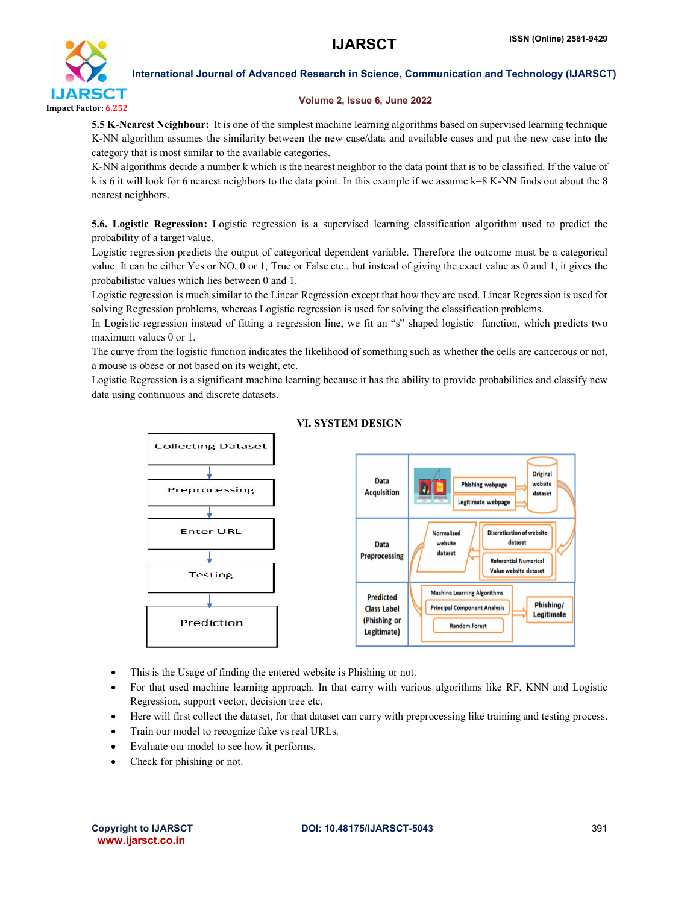

### Volume 2, Issue 6, June 2022

5.5 K-Nearest Neighbour: It is one of the simplest machine learning algorithms based on supervised learning technique K-NN algorithm assumes the similarity between the new case/data and available cases and put the new case into the category that is most similar to the available categories.

K-NN algorithms decide a number k which is the nearest neighbor to the data point that is to be classified. If the value of k is 6 it will look for 6 nearest neighbors to the data point. In this example if we assume  $k=8$  K-NN finds out about the 8 nearest neighbors.

5.6. Logistic Regression: Logistic regression is a supervised learning classification algorithm used to predict the probability of a target value.

Logistic regression predicts the output of categorical dependent variable. Therefore the outcome must be a categorical value. It can be either Yes or NO, 0 or 1, True or False etc.. but instead of giving the exact value as 0 and 1, it gives the probabilistic values which lies between 0 and 1.

Logistic regression is much similar to the Linear Regression except that how they are used. Linear Regression is used for solving Regression problems, whereas Logistic regression is used for solving the classification problems.

In Logistic regression instead of fitting a regression line, we fit an "s" shaped logistic function, which predicts two maximum values 0 or 1.

The curve from the logistic function indicates the likelihood of something such as whether the cells are cancerous or not, a mouse is obese or not based on its weight, etc.

Logistic Regression is a significant machine learning because it has the ability to provide probabilities and classify new data using continuous and discrete datasets.



### VI. SYSTEM DESIGN

- This is the Usage of finding the entered website is Phishing or not.
- For that used machine learning approach. In that carry with various algorithms like RF, KNN and Logistic Regression, support vector, decision tree etc.
- Here will first collect the dataset, for that dataset can carry with preprocessing like training and testing process.
- Train our model to recognize fake vs real URLs.
- Evaluate our model to see how it performs.
- Check for phishing or not.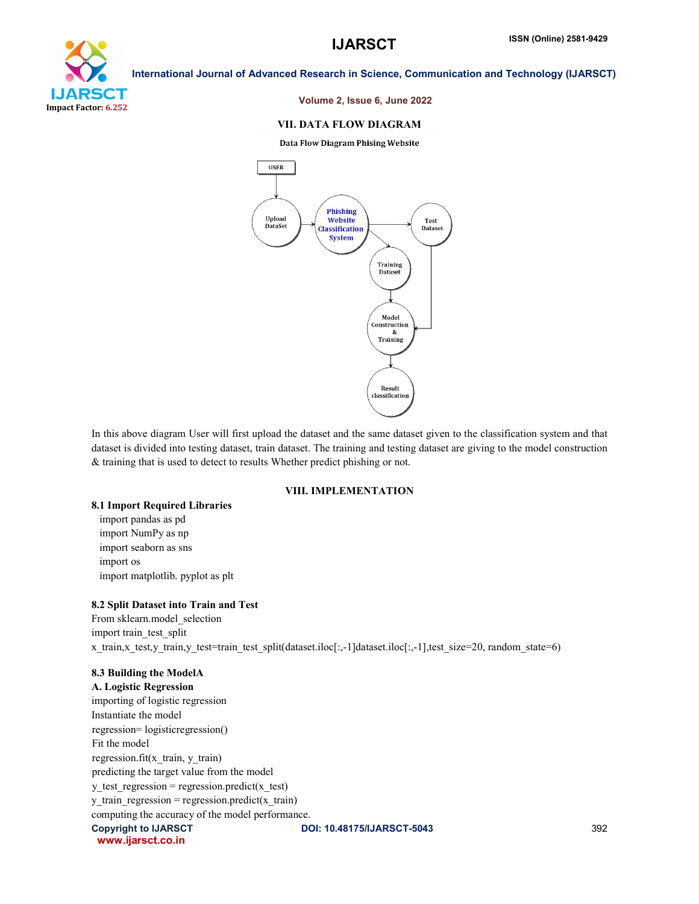

### Volume 2, Issue 6, June 2022

### VII. DATA FLOW DIAGRAM

**Data Flow Diagram Phising Website** 



In this above diagram User will first upload the dataset and the same dataset given to the classification system and that dataset is divided into testing dataset, train dataset. The training and testing dataset are giving to the model construction & training that is used to detect to results Whether predict phishing or not.

### VIII. IMPLEMENTATION

### 8.1 Import Required Libraries

 import pandas as pd import NumPy as np import seaborn as sns import os import matplotlib. pyplot as plt

### 8.2 Split Dataset into Train and Test

From sklearn.model\_selection import train\_test\_split x\_train,x\_test,y\_train,y\_test=train\_test\_split(dataset.iloc[:,-1]dataset.iloc[:,-1],test\_size=20, random\_state=6)

### 8.3 Building the ModelA

Copyright to IJARSCT **DOI: 10.48175/IJARSCT-5043** 392 www.ijarsct.co.in A. Logistic Regression importing of logistic regression Instantiate the model regression= logisticregression() Fit the model regression.fit(x\_train, y\_train) predicting the target value from the model  $y_t$  test\_regression = regression.predict(x\_test) y train regression = regression.predict(x train) computing the accuracy of the model performance.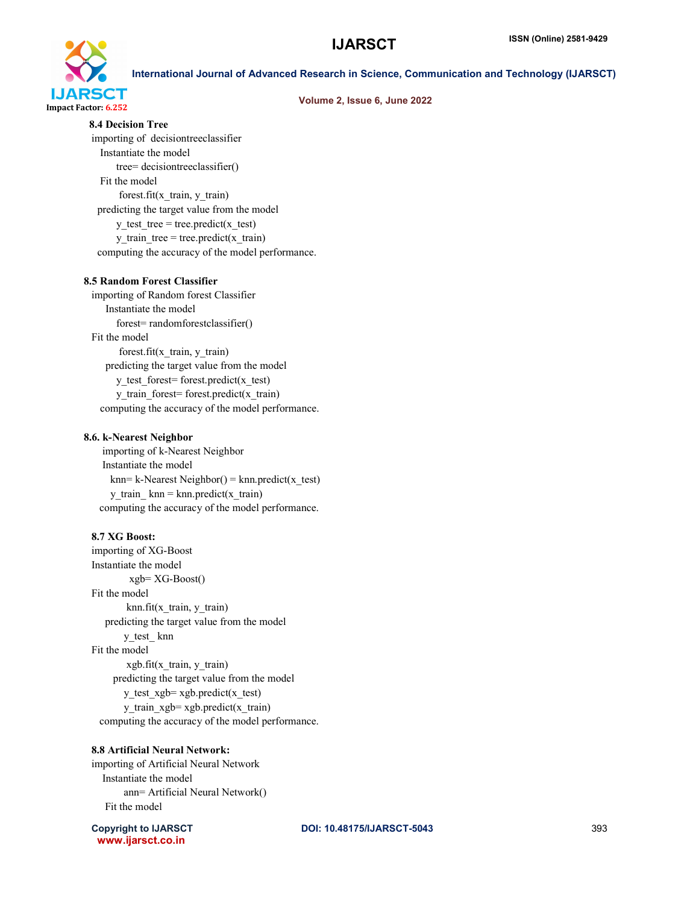

### Volume 2, Issue 6, June 2022

8.4 Decision Tree

importing of decisiontreeclassifier Instantiate the model tree= decisiontreeclassifier() Fit the model forest.fit(x\_train, y\_train) predicting the target value from the model y test tree = tree.predict(x test) y train tree = tree.predict(x train) computing the accuracy of the model performance.

### 8.5 Random Forest Classifier

importing of Random forest Classifier Instantiate the model forest= randomforestclassifier() Fit the model forest.fit(x\_train, y\_train) predicting the target value from the model y test forest= forest.predict(x test) y\_train\_forest= forest.predict(x\_train) computing the accuracy of the model performance.

### 8.6. k-Nearest Neighbor

 importing of k-Nearest Neighbor Instantiate the model  $km = k-Nearest Neighbour() = km.predict(x test)$ y train  $km = km.predict(x train)$ computing the accuracy of the model performance.

### 8.7 XG Boost:

importing of XG-Boost Instantiate the model xgb= XG-Boost() Fit the model  $knn.fit(x train, y train)$  predicting the target value from the model y\_test\_ knn Fit the model  $xgb.fit(x train, y train)$  predicting the target value from the model y test  $xgb = xgb.predict(x test)$ y train  $xgb = xgb.predict(x train)$ computing the accuracy of the model performance.

### 8.8 Artificial Neural Network:

importing of Artificial Neural Network Instantiate the model ann= Artificial Neural Network() Fit the model

www.ijarsct.co.in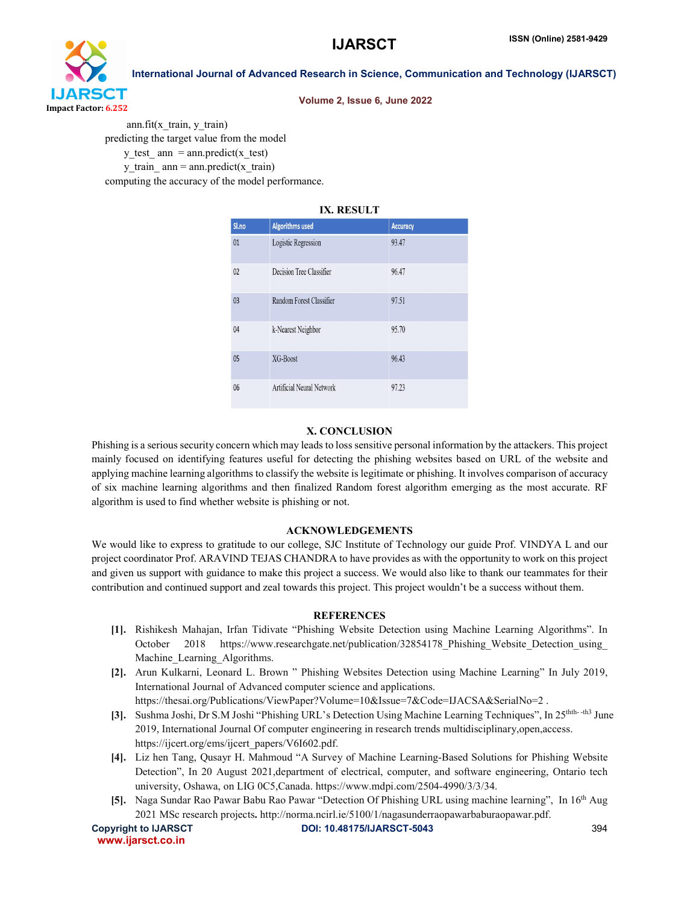

### Volume 2, Issue 6, June 2022

 ann.fit(x\_train, y\_train) predicting the target value from the model y test  $ann = ann.predict(x test)$ y train  $an = ann.predict(x train)$ computing the accuracy of the model performance.

### IX. RESULT

| Sl.no | <b>Algorithms used</b>    | <b>Accuracy</b> |
|-------|---------------------------|-----------------|
| 01    | Logistic Regression       | 93.47           |
| 02    | Decision Tree Classifier  | 96.47           |
| 03    | Random Forest Classifier  | 97.51           |
| 04    | k-Nearest Neighbor        | 95.70           |
| 05    | XG-Boost                  | 96.43           |
| 06    | Artificial Neural Network | 97.23           |

### X. CONCLUSION

Phishing is a serious security concern which may leads to loss sensitive personal information by the attackers. This project mainly focused on identifying features useful for detecting the phishing websites based on URL of the website and applying machine learning algorithms to classify the website is legitimate or phishing. It involves comparison of accuracy of six machine learning algorithms and then finalized Random forest algorithm emerging as the most accurate. RF algorithm is used to find whether website is phishing or not.

### ACKNOWLEDGEMENTS

We would like to express to gratitude to our college, SJC Institute of Technology our guide Prof. VINDYA L and our project coordinator Prof. ARAVIND TEJAS CHANDRA to have provides as with the opportunity to work on this project and given us support with guidance to make this project a success. We would also like to thank our teammates for their contribution and continued support and zeal towards this project. This project wouldn't be a success without them.

### **REFERENCES**

- [1]. Rishikesh Mahajan, Irfan Tidivate "Phishing Website Detection using Machine Learning Algorithms". In October 2018 https://www.researchgate.net/publication/32854178 Phishing Website Detection using Machine\_Learning\_Algorithms.
- [2]. Arun Kulkarni, Leonard L. Brown " Phishing Websites Detection using Machine Learning" In July 2019, International Journal of Advanced computer science and applications. https://thesai.org/Publications/ViewPaper?Volume=10&Issue=7&Code=IJACSA&SerialNo=2.
- [3]. Sushma Joshi, Dr S.M Joshi "Phishing URL's Detection Using Machine Learning Techniques", In 25thth- -th3 June 2019, International Journal Of computer engineering in research trends multidisciplinary,open,access. https://ijcert.org/ems/ijcert\_papers/V6I602.pdf.
- [4]. Liz hen Tang, Qusayr H. Mahmoud "A Survey of Machine Learning-Based Solutions for Phishing Website Detection", In 20 August 2021,department of electrical, computer, and software engineering, Ontario tech university, Oshawa, on LIG 0C5,Canada. https://www.mdpi.com/2504-4990/3/3/34.
- [5]. Naga Sundar Rao Pawar Babu Rao Pawar "Detection Of Phishing URL using machine learning", In 16th Aug 2021 MSc research projects. http://norma.ncirl.ie/5100/1/nagasunderraopawarbaburaopawar.pdf.

```
 www.ijarsct.co.in
```